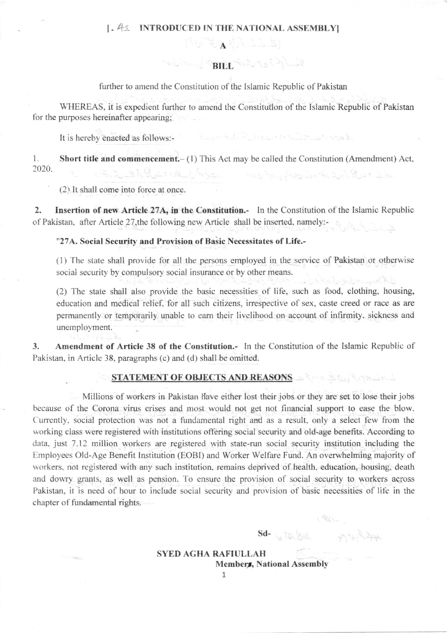## 1. As INTRODUCED IN THE NATIONAL ASSEMBLY

## 140 Aug 19 BIEL FOR THE A

 $A\cup B$ 

further to amend the Constitution of the Islamic Republic of Pakistan

WHEREAS, it is expedient further to amend the Constituflon of the Islamic Republic of Pakistan for the purposes hereinafter appearing;

It is hereby enacted as follows:-

l. Short title and commencement.  $- (1)$  This Act may be called the Constitution (Amendment) Act, 2020. تماسة أوقيل مندم القب كى شهوليت ... السيدان جميلات بالمناسبة والتفاق ماكر مقدر منذ القدرية التضايعد

(2) It shall come into force at once.

2. Insertion of new Article 27A, in the Constitution.- In the Constitution of the Islamic Republic of Pakistan, after Article 27, the following new Article shall be inserted, namely:-

"27A. Social Security and Provision of Basic Necessitates of Life.-

 $(1)$  The state shall provide for all the persons employed in the service of Pakistan or otherwise social security by compulsory social insurance or by other means. ablaccomposition

(2) The state shall also provide the basic necessities of life, such as food, clothing, housing, education and medical relief, for all such citizens, irrespective of sex, caste creed or race as are permanently or temporarily unable to eam their livelihood on account of infumity. sickness and unemployment.

3. Amendment of Article 38 of the Constitution.- In the Constitution of the Islamic Republic of Pakistan, in Article 38, paragraphs (c) and (d) shall be omitted.

## STATEMENT OF OBJECTS AND REASONS SAME STORES

Millions of workers in Pakistan Have either lost their jobs or they are set to lose their jobs because of the Corona virus crises and most would not get not financial support to ease the blow. Currently, social protection was not a fundamental right and as a result, only a select few from the working class were registered with institutions offering social security and old-age benefits. According to data, just 7.12 million workers are registered with state-run social security institution including the Employees Old-Age Benefit Institution (EOBI) and Worker Welfare Fund. An overwhelming majority of workers. not registered with any such institution. remains deprived of health. education, housing, death and dowry grants, as well as pension. To ensure the provision of social security to workers across Pakistan, it is need of hour to include social security and provision of basic necessities of life in the chapter of fundamental rights.

7

 $Sd \frac{1}{2}$  is  $\frac{1}{2}$  in  $\frac{1}{2}$  in  $\frac{1}{2}$  in  $\frac{1}{2}$  in  $\frac{1}{2}$  in  $\frac{1}{2}$  in  $\frac{1}{2}$  in  $\frac{1}{2}$